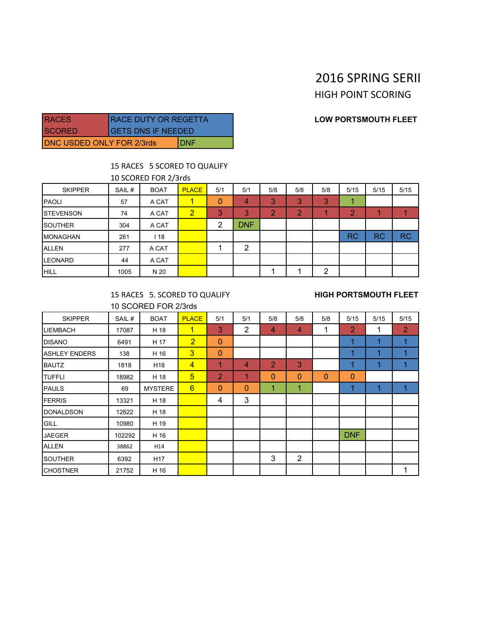## 2016 SPRING SERII

**HIGH POINT SCORING** 

### **LOW PORTSMOUTH FLEET**

| <b>RACES</b>                     | <b>RACE DUTY OR REGETTA</b> |  |  |  |  |
|----------------------------------|-----------------------------|--|--|--|--|
| <b>ISCORED</b>                   | <b>GETS DNS IF NEEDED</b>   |  |  |  |  |
| <b>DNC USDED ONLY FOR 2/3rds</b> | IDNF                        |  |  |  |  |

## 15 RACES 5 SCORED TO QUALIFY

10 SCORED FOR 2/3rds

| <b>SKIPPER</b>   | SAIL# | <b>BOAT</b> | <b>PLACE</b>   | 5/1 | 5/1        | 5/8 | 5/8 | 5/8 | 5/15      | 5/15      | 5/15      |
|------------------|-------|-------------|----------------|-----|------------|-----|-----|-----|-----------|-----------|-----------|
| <b>PAOLI</b>     | 57    | A CAT       | 1              | 0   | 4          | 3   | 3   | 3   |           |           |           |
| <b>STEVENSON</b> | 74    | A CAT       | $\overline{2}$ | 3   | 3          | っ   | റ   |     | 0         |           |           |
| <b>SOUTHER</b>   | 304   | A CAT       |                | ◠   | <b>DNF</b> |     |     |     |           |           |           |
| <b>MONAGHAN</b>  | 261   | 18          |                |     |            |     |     |     | <b>RC</b> | <b>RC</b> | <b>RC</b> |
| <b>ALLEN</b>     | 277   | A CAT       |                |     | 2          |     |     |     |           |           |           |
| <b>LEONARD</b>   | 44    | A CAT       |                |     |            |     |     |     |           |           |           |
| <b>HILL</b>      | 1005  | N 20        |                |     |            |     |     | 2   |           |           |           |

15 RACES 5. SCORED TO QUALIFY **HIGH PORTSMOUTH FLEET** 10 SCORED FOR 2/3rds

| <b>SKIPPER</b>       | SAIL#  | <b>BOAT</b>     | <b>PLACE</b>    | 5/1            | 5/1            | 5/8            | 5/8            | 5/8          | 5/15           | 5/15 | 5/15 |
|----------------------|--------|-----------------|-----------------|----------------|----------------|----------------|----------------|--------------|----------------|------|------|
| <b>LIEMBACH</b>      | 17087  | H 18            | $\mathbf{1}$    | 3              | 2              | $\overline{4}$ | 4              | 1            | $\overline{2}$ | 1    | 2    |
| <b>DISANO</b>        | 6491   | H 17            | $\overline{2}$  | $\mathbf{0}$   |                |                |                |              | 1              | 1    |      |
| <b>ASHLEY ENDERS</b> | 138    | H 16            | $\overline{3}$  | $\mathbf{0}$   |                |                |                |              | 1              |      |      |
| <b>BAUTZ</b>         | 1818   | H <sub>18</sub> | $\overline{4}$  | 1              | $\overline{4}$ | $\overline{2}$ | 3              |              | 1              | 1    |      |
| <b>TUFFLI</b>        | 18982  | H 18            | $5\overline{)}$ | $\overline{2}$ | 1              | $\mathbf{0}$   | $\mathbf 0$    | $\mathbf{0}$ | $\mathbf{0}$   |      |      |
| <b>PAULS</b>         | 69     | <b>MYSTERE</b>  | $6\overline{6}$ | $\mathbf{0}$   | $\mathbf{0}$   | 1              | 1              |              | 1              | и    |      |
| FERRIS               | 13321  | H 18            |                 | 4              | 3              |                |                |              |                |      |      |
| <b>DONALDSON</b>     | 12622  | H 18            |                 |                |                |                |                |              |                |      |      |
| GILL                 | 10980  | H 19            |                 |                |                |                |                |              |                |      |      |
| <b>JAEGER</b>        | 102292 | H 16            |                 |                |                |                |                |              | <b>DNF</b>     |      |      |
| <b>ALLEN</b>         | 38862  | H14             |                 |                |                |                |                |              |                |      |      |
| <b>SOUTHER</b>       | 6392   | H <sub>17</sub> |                 |                |                | 3              | $\overline{2}$ |              |                |      |      |
| <b>CHOSTNER</b>      | 21752  | H 16            |                 |                |                |                |                |              |                |      | 1    |